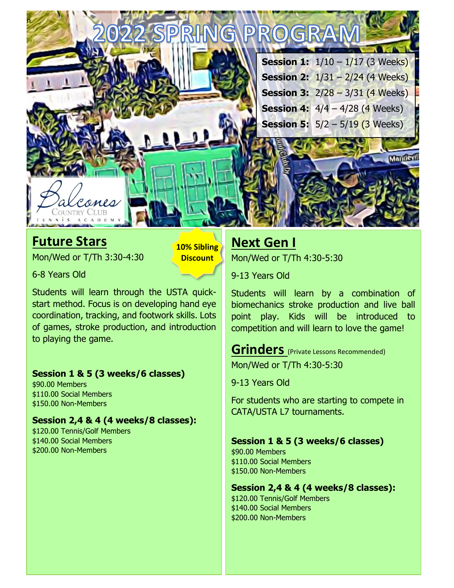

### **Future Stars**

Mon/Wed or T/Th 3:30-4:30

**10% Sibling Discount**

6-8 Years Old

Students will learn through the USTA quickstart method. Focus is on developing hand eye coordination, tracking, and footwork skills. Lots of games, stroke production, and introduction to playing the game.

#### **Session 1 & 5 (3 weeks/6 classes)**

\$90.00 Members \$110.00 Social Members \$150.00 Non-Members

#### **Session 2,4 & 4 (4 weeks/8 classes):**

\$120.00 Tennis/Golf Members \$140.00 Social Members \$200.00 Non-Members

# **Next Gen I**

Mon/Wed or T/Th 4:30-5:30

9-13 Years Old

Students will learn by a combination of biomechanics stroke production and live ball point play. Kids will be introduced to competition and will learn to love the game!

#### **Grinders** (Private Lessons Recommended) Mon/Wed or T/Th 4:30-5:30

9-13 Years Old

For students who are starting to compete in CATA/USTA L7 tournaments.

#### **Session 1 & 5 (3 weeks/6 classes)**

\$90.00 Members \$110.00 Social Members \$150.00 Non-Members

#### **Session 2,4 & 4 (4 weeks/8 classes):**

\$120.00 Tennis/Golf Members \$140.00 Social Members \$200.00 Non-Members